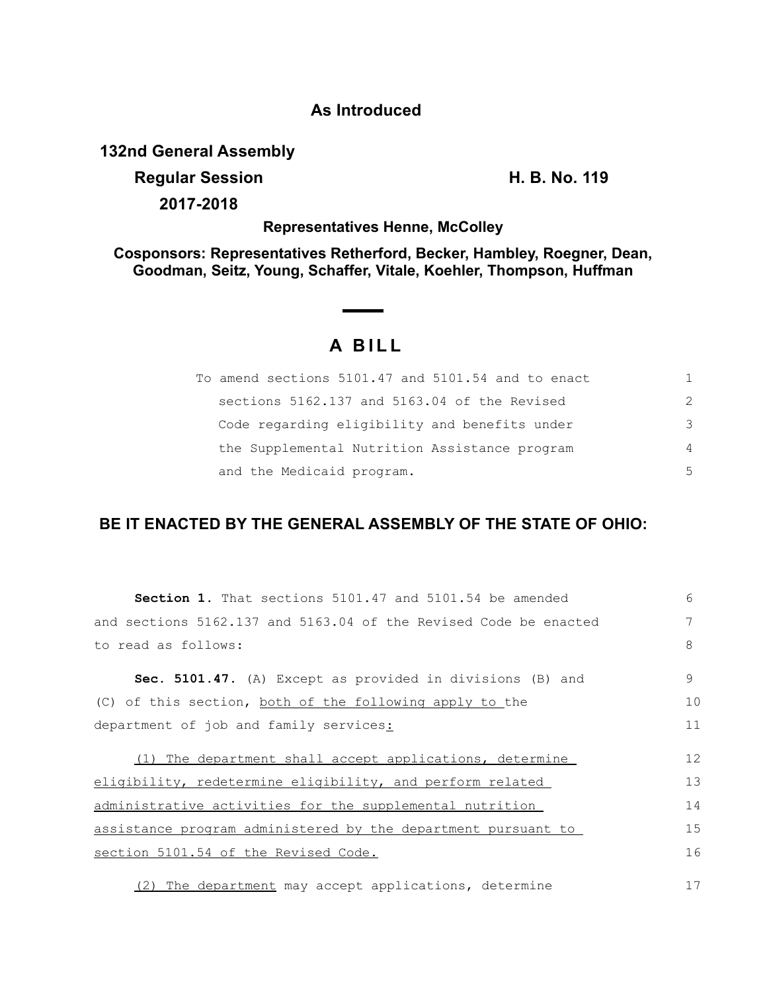## **As Introduced**

**132nd General Assembly**

**Regular Session H. B. No. 119**

**2017-2018**

**Representatives Henne, McColley**

**Cosponsors: Representatives Retherford, Becker, Hambley, Roegner, Dean, Goodman, Seitz, Young, Schaffer, Vitale, Koehler, Thompson, Huffman**

## **A B I L L**

| To amend sections 5101.47 and 5101.54 and to enact | 1.            |
|----------------------------------------------------|---------------|
| sections 5162.137 and 5163.04 of the Revised       | $\mathcal{L}$ |
| Code regarding eligibility and benefits under      | 3             |
| the Supplemental Nutrition Assistance program      | 4             |
| and the Medicaid program.                          | 5             |

## **BE IT ENACTED BY THE GENERAL ASSEMBLY OF THE STATE OF OHIO:**

| <b>Section 1.</b> That sections 5101.47 and 5101.54 be amended   | $6 \overline{6}$ |
|------------------------------------------------------------------|------------------|
| and sections 5162.137 and 5163.04 of the Revised Code be enacted |                  |
| to read as follows:                                              | 8                |
| Sec. 5101.47. (A) Except as provided in divisions (B) and        | 9                |
| (C) of this section, both of the following apply to the          | 10               |
| department of job and family services:                           | 11               |
| (1) The department shall accept applications, determine          | 12               |
| eligibility, redetermine eligibility, and perform related        | 13               |
| administrative activities for the supplemental nutrition         | 14               |
| assistance program administered by the department pursuant to    | 15               |
| section 5101.54 of the Revised Code.                             | 16               |
| (2) The department may accept applications, determine            | 17               |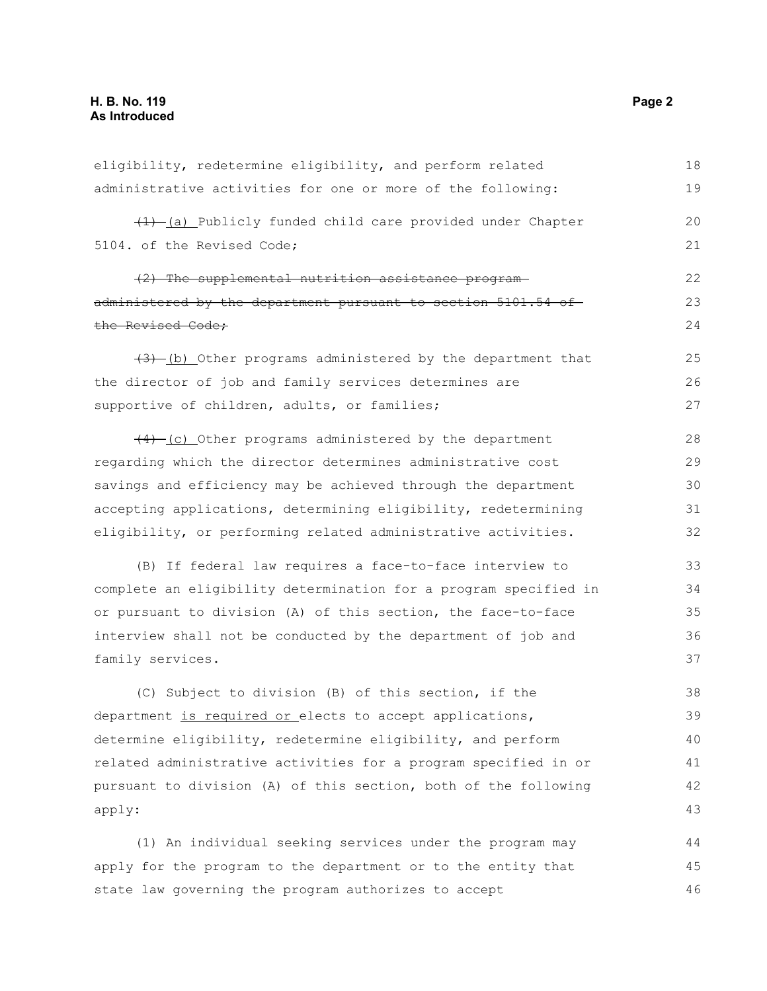| eligibility, redetermine eligibility, and perform related        | 18 |
|------------------------------------------------------------------|----|
| administrative activities for one or more of the following:      | 19 |
| $(1)$ (a) Publicly funded child care provided under Chapter      | 20 |
| 5104. of the Revised Code;                                       | 21 |
| (2) The supplemental nutrition assistance program-               | 22 |
| administered by the department pursuant to section 5101.54 of    | 23 |
| the Revised Code;                                                | 24 |
| $(3)$ -(b) Other programs administered by the department that    | 25 |
| the director of job and family services determines are           | 26 |
| supportive of children, adults, or families;                     | 27 |
| (4) (c) Other programs administered by the department            | 28 |
| regarding which the director determines administrative cost      | 29 |
| savings and efficiency may be achieved through the department    | 30 |
| accepting applications, determining eligibility, redetermining   | 31 |
| eligibility, or performing related administrative activities.    | 32 |
| (B) If federal law requires a face-to-face interview to          | 33 |
| complete an eligibility determination for a program specified in | 34 |
| or pursuant to division (A) of this section, the face-to-face    | 35 |
| interview shall not be conducted by the department of job and    | 36 |
| family services.                                                 | 37 |
| (C) Subject to division (B) of this section, if the              | 38 |
| department is required or elects to accept applications,         | 39 |
| determine eligibility, redetermine eligibility, and perform      | 40 |
| related administrative activities for a program specified in or  | 41 |
| pursuant to division (A) of this section, both of the following  | 42 |
| apply:                                                           | 43 |
| (1) An individual seeking services under the program may         | 44 |
| apply for the program to the department or to the entity that    | 45 |

state law governing the program authorizes to accept

46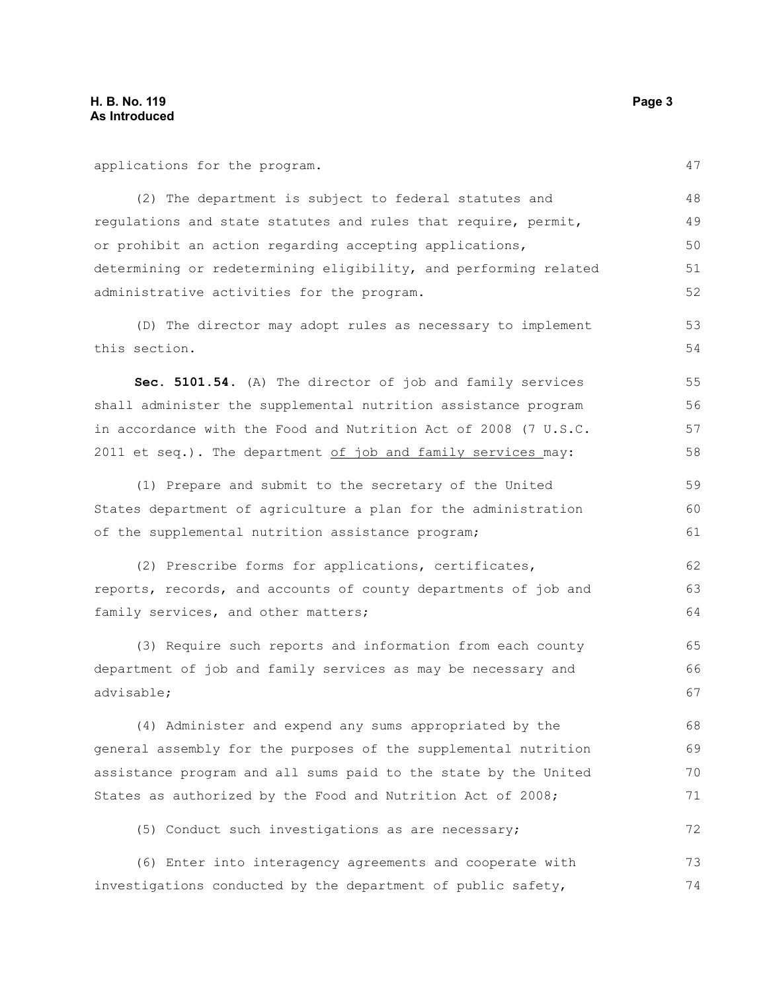applications for the program. (2) The department is subject to federal statutes and regulations and state statutes and rules that require, permit, or prohibit an action regarding accepting applications, determining or redetermining eligibility, and performing related administrative activities for the program. (D) The director may adopt rules as necessary to implement this section. **Sec. 5101.54.** (A) The director of job and family services shall administer the supplemental nutrition assistance program in accordance with the Food and Nutrition Act of 2008 (7 U.S.C. 2011 et seq.). The department  $of$  job and family services may: (1) Prepare and submit to the secretary of the United States department of agriculture a plan for the administration of the supplemental nutrition assistance program; (2) Prescribe forms for applications, certificates, reports, records, and accounts of county departments of job and family services, and other matters; (3) Require such reports and information from each county department of job and family services as may be necessary and advisable; (4) Administer and expend any sums appropriated by the general assembly for the purposes of the supplemental nutrition assistance program and all sums paid to the state by the United States as authorized by the Food and Nutrition Act of 2008; (5) Conduct such investigations as are necessary; (6) Enter into interagency agreements and cooperate with investigations conducted by the department of public safety, 47 48 49 50 51 52 53 54 55 56 57 58 59 60 61 62 63 64 65 66 67 68 69 70 71 72 73 74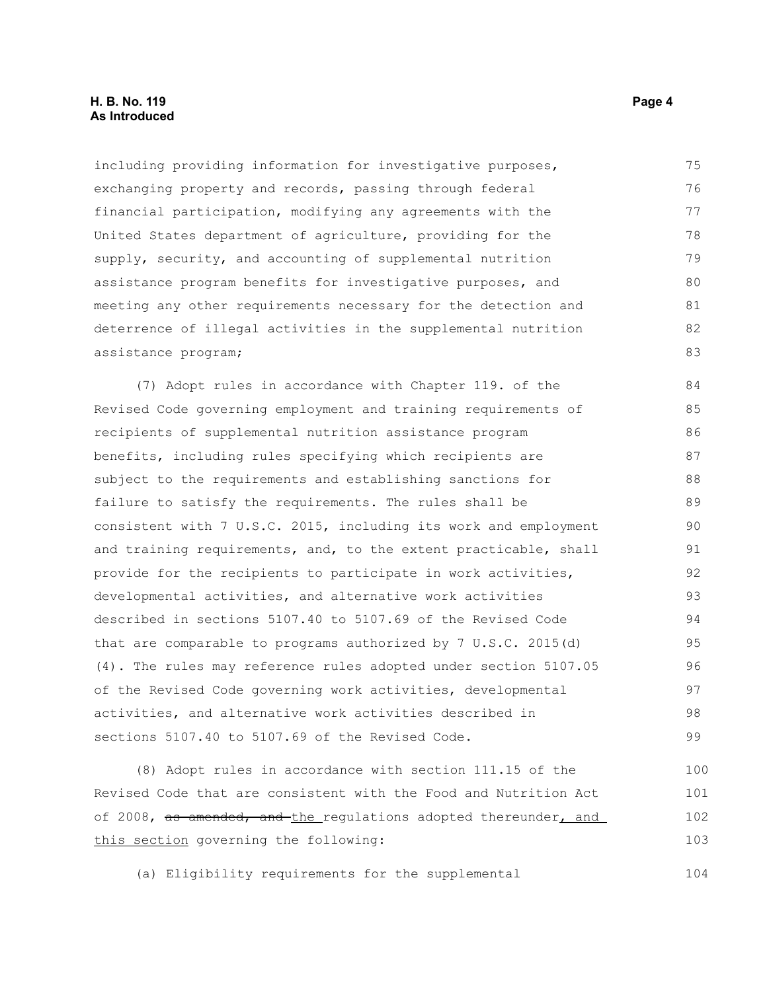## **H. B. No. 119 Page 4 As Introduced**

including providing information for investigative purposes, exchanging property and records, passing through federal financial participation, modifying any agreements with the United States department of agriculture, providing for the supply, security, and accounting of supplemental nutrition assistance program benefits for investigative purposes, and meeting any other requirements necessary for the detection and deterrence of illegal activities in the supplemental nutrition assistance program; 75 76 77 78 79 80 81 82 83

(7) Adopt rules in accordance with Chapter 119. of the Revised Code governing employment and training requirements of recipients of supplemental nutrition assistance program benefits, including rules specifying which recipients are subject to the requirements and establishing sanctions for failure to satisfy the requirements. The rules shall be consistent with 7 U.S.C. 2015, including its work and employment and training requirements, and, to the extent practicable, shall provide for the recipients to participate in work activities, developmental activities, and alternative work activities described in sections 5107.40 to 5107.69 of the Revised Code that are comparable to programs authorized by 7 U.S.C. 2015(d) (4). The rules may reference rules adopted under section 5107.05 of the Revised Code governing work activities, developmental activities, and alternative work activities described in sections 5107.40 to 5107.69 of the Revised Code. 84 85 86 87 88 89 90 91 92 93 94 95 96 97 98 99

(8) Adopt rules in accordance with section 111.15 of the Revised Code that are consistent with the Food and Nutrition Act of 2008, as amended, and the regulations adopted thereunder, and this section governing the following: 100 101 102 103

(a) Eligibility requirements for the supplemental

104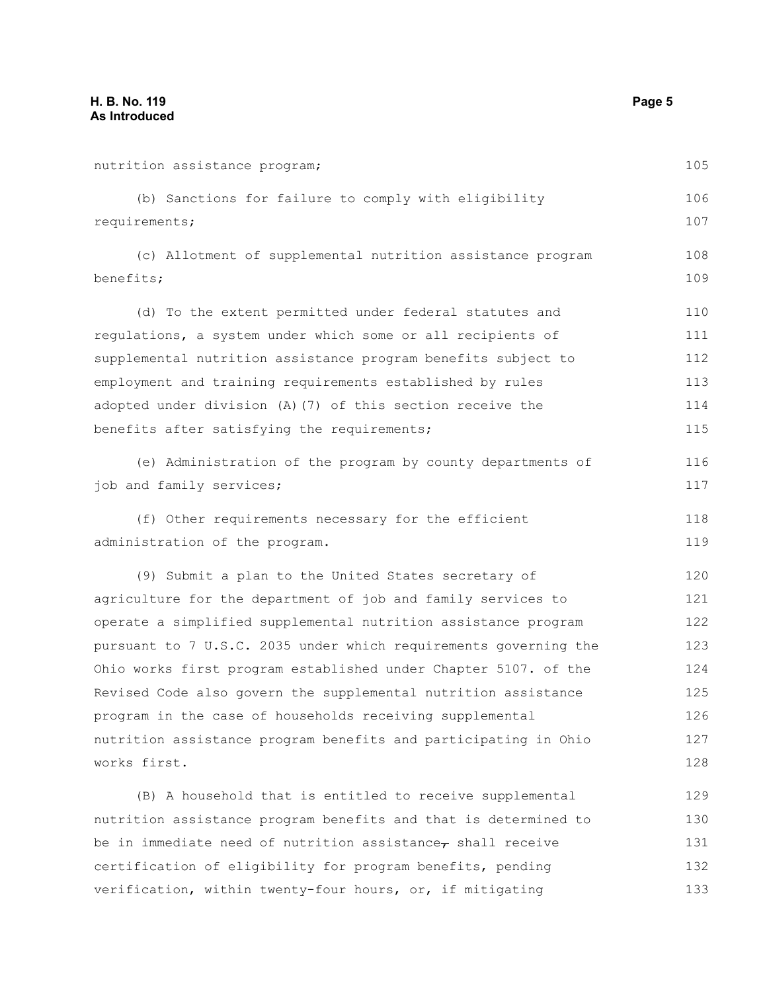nutrition assistance program; (b) Sanctions for failure to comply with eligibility requirements; (c) Allotment of supplemental nutrition assistance program benefits; (d) To the extent permitted under federal statutes and regulations, a system under which some or all recipients of supplemental nutrition assistance program benefits subject to employment and training requirements established by rules adopted under division (A)(7) of this section receive the benefits after satisfying the requirements; (e) Administration of the program by county departments of job and family services; (f) Other requirements necessary for the efficient administration of the program. (9) Submit a plan to the United States secretary of agriculture for the department of job and family services to operate a simplified supplemental nutrition assistance program pursuant to 7 U.S.C. 2035 under which requirements governing the Ohio works first program established under Chapter 5107. of the Revised Code also govern the supplemental nutrition assistance program in the case of households receiving supplemental nutrition assistance program benefits and participating in Ohio works first. (B) A household that is entitled to receive supplemental nutrition assistance program benefits and that is determined to be in immediate need of nutrition assistance, shall receive certification of eligibility for program benefits, pending 105 106 107 108 109 110 111 112 113 114 115 116 117 118 119 120 121 122 123 124 125 126 127 128 129 130 131 132

verification, within twenty-four hours, or, if mitigating

133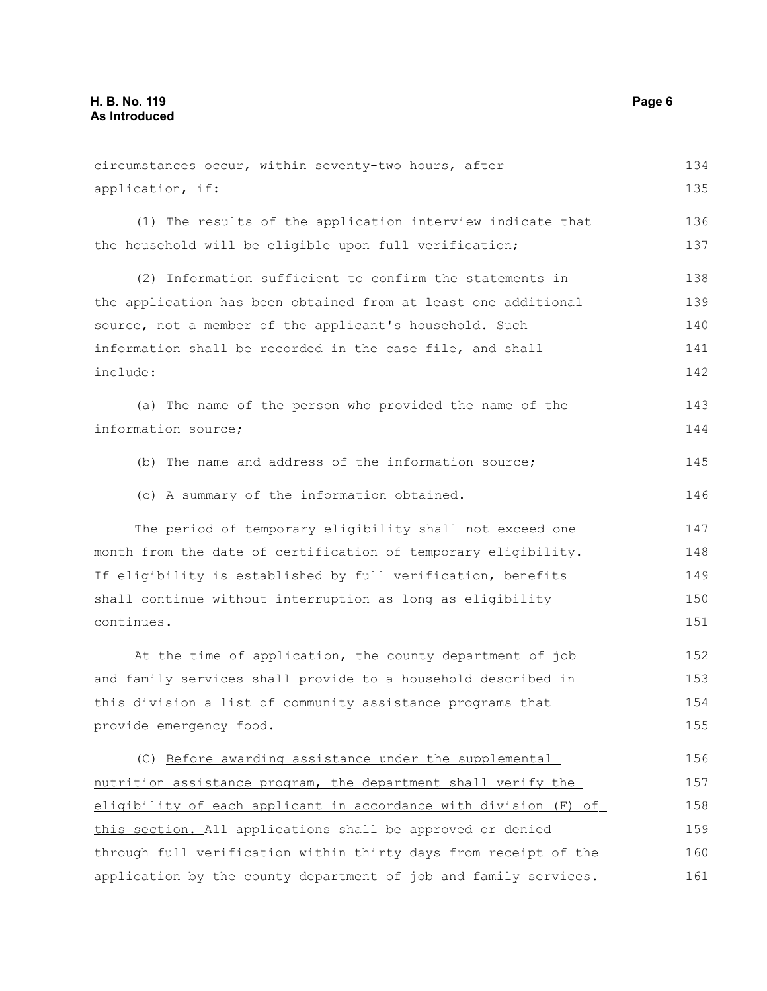| circumstances occur, within seventy-two hours, after               | 134 |
|--------------------------------------------------------------------|-----|
| application, if:                                                   | 135 |
| (1) The results of the application interview indicate that         | 136 |
| the household will be eligible upon full verification;             | 137 |
| (2) Information sufficient to confirm the statements in            | 138 |
| the application has been obtained from at least one additional     | 139 |
| source, not a member of the applicant's household. Such            | 140 |
| information shall be recorded in the case file $_{\tau}$ and shall | 141 |
| include:                                                           | 142 |
| (a) The name of the person who provided the name of the            | 143 |
| information source;                                                | 144 |
| (b) The name and address of the information source;                | 145 |
| (c) A summary of the information obtained.                         | 146 |
| The period of temporary eligibility shall not exceed one           | 147 |
| month from the date of certification of temporary eligibility.     | 148 |
| If eligibility is established by full verification, benefits       | 149 |
| shall continue without interruption as long as eligibility         | 150 |
| continues.                                                         | 151 |
| At the time of application, the county department of job           | 152 |
| and family services shall provide to a household described in      | 153 |
| this division a list of community assistance programs that         | 154 |
| provide emergency food.                                            | 155 |
| (C) Before awarding assistance under the supplemental              | 156 |
| nutrition assistance program, the department shall verify the      | 157 |
| eligibility of each applicant in accordance with division (F) of   | 158 |
| this section. All applications shall be approved or denied         | 159 |
| through full verification within thirty days from receipt of the   | 160 |
| application by the county department of job and family services.   | 161 |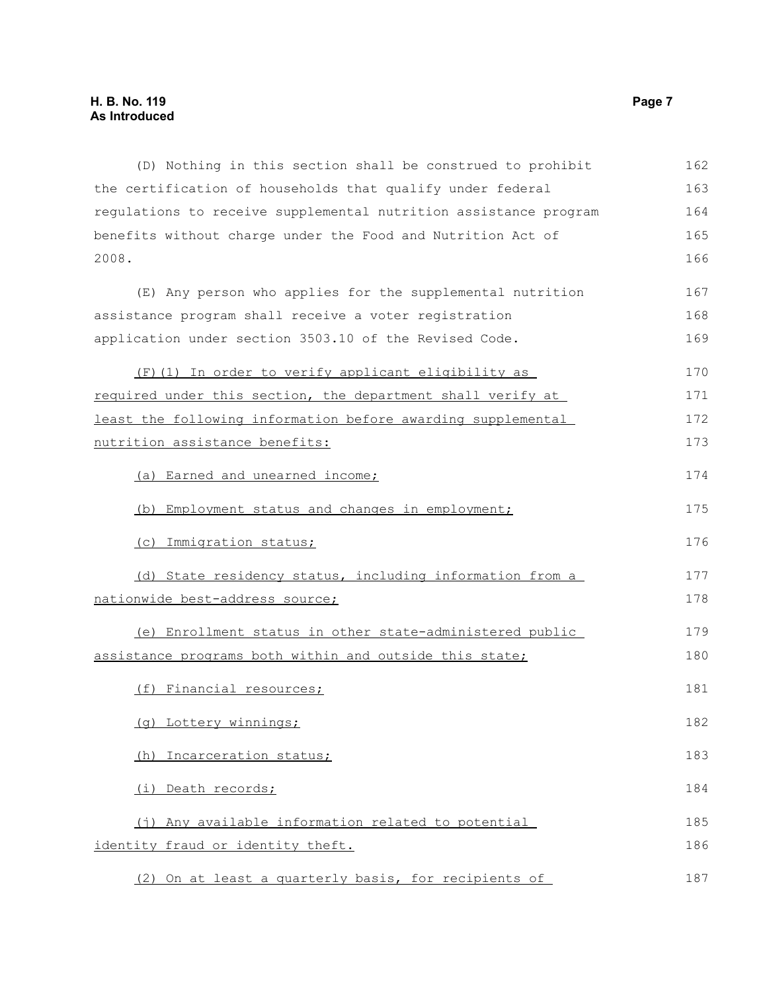(D) Nothing in this section shall be construed to prohibit the certification of households that qualify under federal regulations to receive supplemental nutrition assistance program benefits without charge under the Food and Nutrition Act of 2008. (E) Any person who applies for the supplemental nutrition assistance program shall receive a voter registration application under section 3503.10 of the Revised Code. (F)(1) In order to verify applicant eligibility as required under this section, the department shall verify at least the following information before awarding supplemental nutrition assistance benefits: (a) Earned and unearned income; (b) Employment status and changes in employment; (c) Immigration status; (d) State residency status, including information from a nationwide best-address source; (e) Enrollment status in other state-administered public assistance programs both within and outside this state; (f) Financial resources; (g) Lottery winnings; (h) Incarceration status; (i) Death records; (j) Any available information related to potential identity fraud or identity theft. (2) On at least a quarterly basis, for recipients of 162 163 164 165 166 167 168 169 170 171 172 173 174 175 176 177 178 179 180 181 182 183 184 185 186 187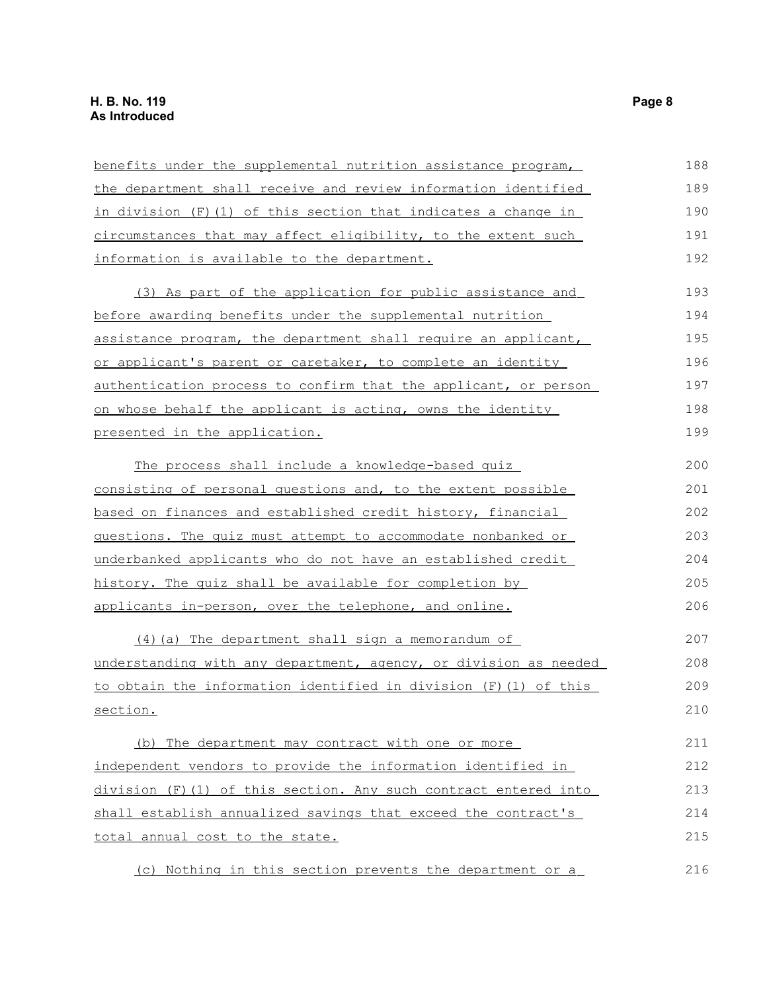| benefits under the supplemental nutrition assistance program,    | 188 |
|------------------------------------------------------------------|-----|
| the department shall receive and review information identified   | 189 |
| in division (F) (1) of this section that indicates a change in   | 190 |
| circumstances that may affect eligibility, to the extent such    | 191 |
| information is available to the department.                      | 192 |
| (3) As part of the application for public assistance and         | 193 |
| before awarding benefits under the supplemental nutrition        | 194 |
| assistance program, the department shall require an applicant,   | 195 |
| or applicant's parent or caretaker, to complete an identity      | 196 |
| authentication process to confirm that the applicant, or person  | 197 |
| on whose behalf the applicant is acting, owns the identity       | 198 |
| presented in the application.                                    | 199 |
| The process shall include a knowledge-based quiz                 | 200 |
| consisting of personal questions and, to the extent possible     | 201 |
| based on finances and established credit history, financial      | 202 |
| questions. The quiz must attempt to accommodate nonbanked or     | 203 |
| underbanked applicants who do not have an established credit     | 204 |
| history. The quiz shall be available for completion by           | 205 |
| applicants in-person, over the telephone, and online.            | 206 |
| (4) (a) The department shall sign a memorandum of                | 207 |
| understanding with any department, agency, or division as needed | 208 |
| to obtain the information identified in division (F) (1) of this | 209 |
| section.                                                         | 210 |
| (b) The department may contract with one or more                 | 211 |
| independent vendors to provide the information identified in     | 212 |
| division (F)(1) of this section. Any such contract entered into  | 213 |
| shall establish annualized savings that exceed the contract's    | 214 |
| total annual cost to the state.                                  | 215 |
| (c) Nothing in this section prevents the department or a         | 216 |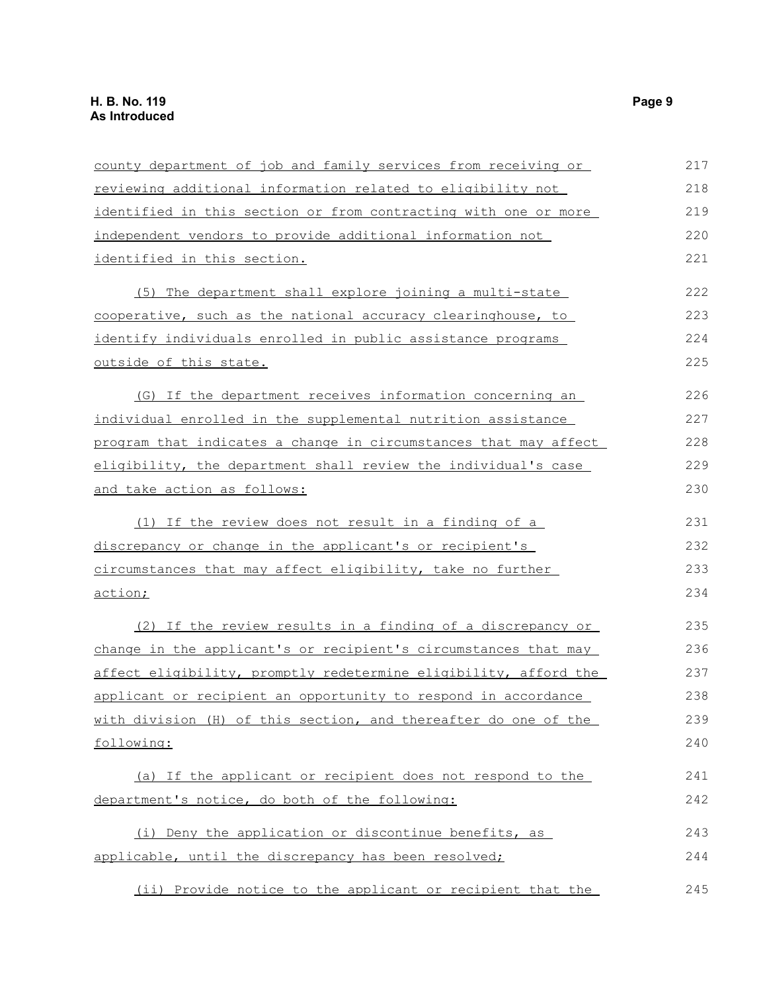| county department of job and family services from receiving or   | 217 |
|------------------------------------------------------------------|-----|
| reviewing additional information related to eligibility not      | 218 |
| identified in this section or from contracting with one or more  | 219 |
| independent vendors to provide additional information not        | 220 |
| identified in this section.                                      | 221 |
| (5) The department shall explore joining a multi-state           | 222 |
| cooperative, such as the national accuracy clearinghouse, to     | 223 |
| identify individuals enrolled in public assistance programs      | 224 |
| outside of this state.                                           | 225 |
| (G) If the department receives information concerning an         | 226 |
| individual enrolled in the supplemental nutrition assistance     | 227 |
| program that indicates a change in circumstances that may affect | 228 |
| eligibility, the department shall review the individual's case   | 229 |
| and take action as follows:                                      | 230 |
| (1) If the review does not result in a finding of a              | 231 |
| discrepancy or change in the applicant's or recipient's          | 232 |
| circumstances that may affect eligibility, take no further       | 233 |
| action;                                                          | 234 |
| (2) If the review results in a finding of a discrepancy or       | 235 |
| change in the applicant's or recipient's circumstances that may  | 236 |
| affect eligibility, promptly redetermine eligibility, afford the | 237 |
| applicant or recipient an opportunity to respond in accordance   | 238 |
| with division (H) of this section, and thereafter do one of the  | 239 |
| following:                                                       | 240 |
| (a) If the applicant or recipient does not respond to the        | 241 |
| department's notice, do both of the following:                   | 242 |
| (i) Deny the application or discontinue benefits, as             | 243 |
| applicable, until the discrepancy has been resolved;             | 244 |
| (ii) Provide notice to the applicant or recipient that the       | 245 |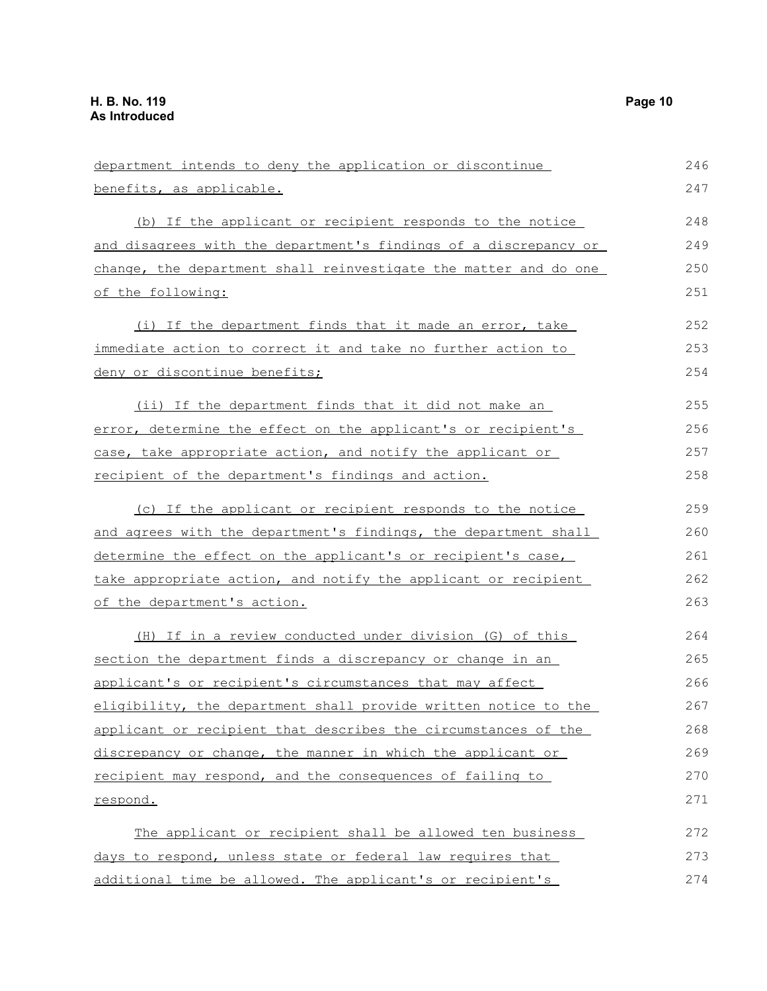| department intends to deny the application or discontinue        | 246 |
|------------------------------------------------------------------|-----|
| benefits, as applicable.                                         | 247 |
| (b) If the applicant or recipient responds to the notice         | 248 |
| and disagrees with the department's findings of a discrepancy or | 249 |
| change, the department shall reinvestigate the matter and do one | 250 |
| of the following:                                                | 251 |
| (i) If the department finds that it made an error, take          | 252 |
| immediate action to correct it and take no further action to     | 253 |
| <u>deny or discontinue benefits;</u>                             | 254 |
| (ii) If the department finds that it did not make an             | 255 |
| error, determine the effect on the applicant's or recipient's    | 256 |
| case, take appropriate action, and notify the applicant or       | 257 |
| recipient of the department's findings and action.               | 258 |
| (c) If the applicant or recipient responds to the notice         | 259 |
| and agrees with the department's findings, the department shall  | 260 |
| determine the effect on the applicant's or recipient's case,     | 261 |
| take appropriate action, and notify the applicant or recipient   | 262 |
| of the department's action.                                      | 263 |
| (H) If in a review conducted under division (G) of this          | 264 |
| section the department finds a discrepancy or change in an       | 265 |
| applicant's or recipient's circumstances that may affect         | 266 |
| eligibility, the department shall provide written notice to the  | 267 |
| applicant or recipient that describes the circumstances of the   | 268 |
| discrepancy or change, the manner in which the applicant or      | 269 |
| recipient may respond, and the consequences of failing to        | 270 |
| respond.                                                         | 271 |
| The applicant or recipient shall be allowed ten business         | 272 |
| days to respond, unless state or federal law requires that       | 273 |
| additional time be allowed. The applicant's or recipient's       | 274 |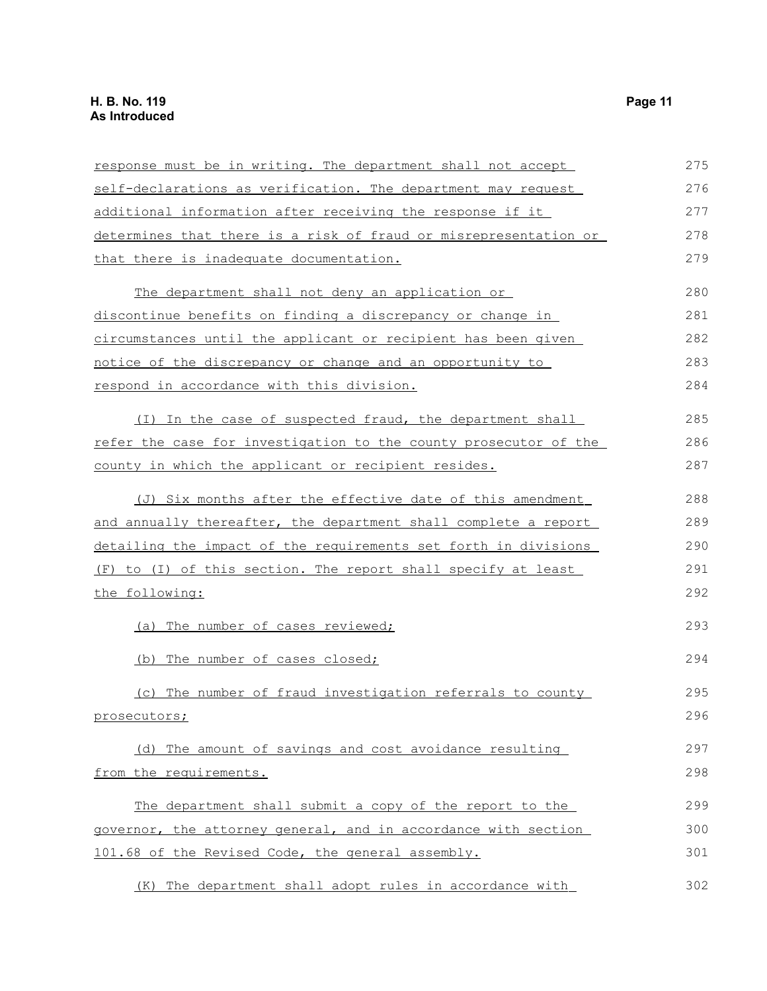| response must be in writing. The department shall not accept           | 275 |
|------------------------------------------------------------------------|-----|
| self-declarations as verification. The department may request          | 276 |
| additional information after receiving the response if it              | 277 |
| determines that there is a risk of fraud or misrepresentation or       | 278 |
| <u>that there is inadequate documentation.</u>                         | 279 |
| The department shall not deny an application or                        | 280 |
| discontinue benefits on finding a discrepancy or change in             | 281 |
| circumstances until the applicant or recipient has been given          | 282 |
| notice of the discrepancy or change and an opportunity to              | 283 |
| respond in accordance with this division.                              | 284 |
| (I) In the case of suspected fraud, the department shall               | 285 |
| refer the case for investigation to the county prosecutor of the       | 286 |
| county in which the applicant or recipient resides.                    | 287 |
| (J) Six months after the effective date of this amendment              | 288 |
| and annually thereafter, the department shall complete a report        | 289 |
| <u>detailing the impact of the requirements set forth in divisions</u> | 290 |
| to (I) of this section. The report shall specify at least<br>(F)       | 291 |
| the following:                                                         | 292 |
| (a) The number of cases reviewed;                                      | 293 |
| (b) The number of cases closed;                                        | 294 |
| The number of fraud investigation referrals to county                  | 295 |
| prosecutors;                                                           | 296 |
| (d) The amount of savings and cost avoidance resulting                 | 297 |
| from the requirements.                                                 | 298 |
| The department shall submit a copy of the report to the                | 299 |
| governor, the attorney general, and in accordance with section         | 300 |
| 101.68 of the Revised Code, the general assembly.                      | 301 |
| (K) The department shall adopt rules in accordance with                | 302 |